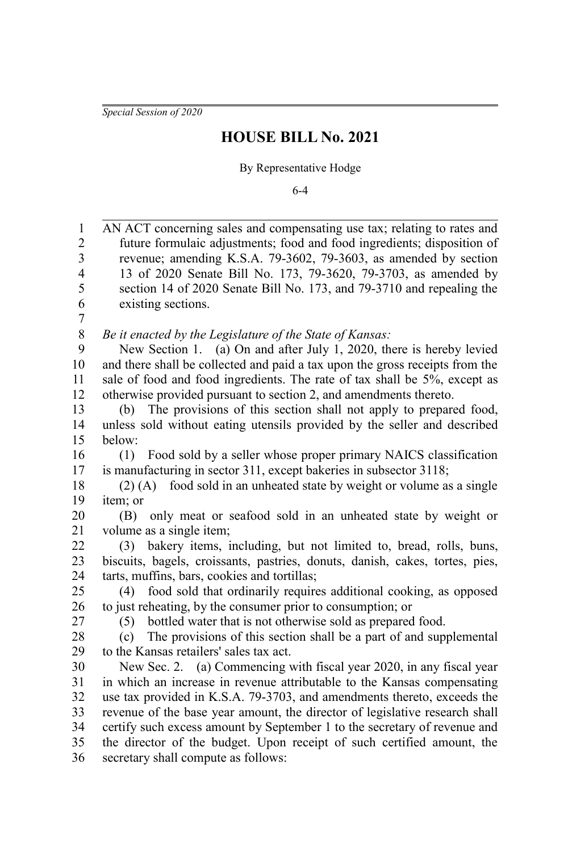*Special Session of 2020*

## **HOUSE BILL No. 2021**

## By Representative Hodge

6-4

AN ACT concerning sales and compensating use tax; relating to rates and future formulaic adjustments; food and food ingredients; disposition of revenue; amending K.S.A. 79-3602, 79-3603, as amended by section 13 of 2020 Senate Bill No. 173, 79-3620, 79-3703, as amended by section 14 of 2020 Senate Bill No. 173, and 79-3710 and repealing the existing sections. *Be it enacted by the Legislature of the State of Kansas:* New Section 1. (a) On and after July 1, 2020, there is hereby levied and there shall be collected and paid a tax upon the gross receipts from the sale of food and food ingredients. The rate of tax shall be 5%, except as otherwise provided pursuant to section 2, and amendments thereto. (b) The provisions of this section shall not apply to prepared food, unless sold without eating utensils provided by the seller and described below: (1) Food sold by a seller whose proper primary NAICS classification is manufacturing in sector 311, except bakeries in subsector 3118; (2) (A) food sold in an unheated state by weight or volume as a single item; or (B) only meat or seafood sold in an unheated state by weight or volume as a single item; (3) bakery items, including, but not limited to, bread, rolls, buns, biscuits, bagels, croissants, pastries, donuts, danish, cakes, tortes, pies, tarts, muffins, bars, cookies and tortillas; (4) food sold that ordinarily requires additional cooking, as opposed to just reheating, by the consumer prior to consumption; or (5) bottled water that is not otherwise sold as prepared food. (c) The provisions of this section shall be a part of and supplemental to the Kansas retailers' sales tax act. New Sec. 2. (a) Commencing with fiscal year 2020, in any fiscal year in which an increase in revenue attributable to the Kansas compensating use tax provided in K.S.A. 79-3703, and amendments thereto, exceeds the revenue of the base year amount, the director of legislative research shall certify such excess amount by September 1 to the secretary of revenue and the director of the budget. Upon receipt of such certified amount, the secretary shall compute as follows: 1 2 3 4 5 6 7 8 9 10 11 12 13 14 15 16 17 18 19 20 21 22 23 24 25 26 27 28 29 30 31 32 33 34 35 36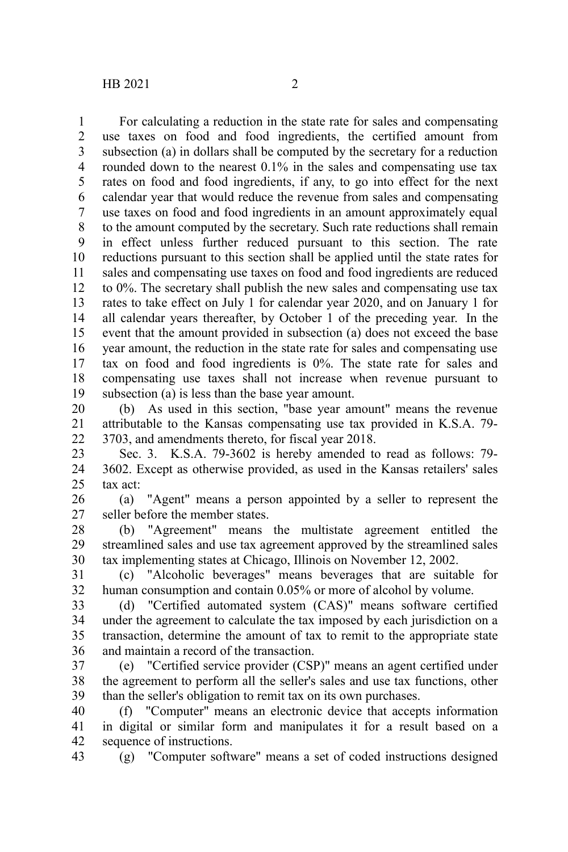For calculating a reduction in the state rate for sales and compensating use taxes on food and food ingredients, the certified amount from subsection (a) in dollars shall be computed by the secretary for a reduction rounded down to the nearest 0.1% in the sales and compensating use tax rates on food and food ingredients, if any, to go into effect for the next calendar year that would reduce the revenue from sales and compensating use taxes on food and food ingredients in an amount approximately equal to the amount computed by the secretary. Such rate reductions shall remain in effect unless further reduced pursuant to this section. The rate reductions pursuant to this section shall be applied until the state rates for sales and compensating use taxes on food and food ingredients are reduced to 0%. The secretary shall publish the new sales and compensating use tax rates to take effect on July 1 for calendar year 2020, and on January 1 for all calendar years thereafter, by October 1 of the preceding year. In the event that the amount provided in subsection (a) does not exceed the base year amount, the reduction in the state rate for sales and compensating use tax on food and food ingredients is 0%. The state rate for sales and compensating use taxes shall not increase when revenue pursuant to subsection (a) is less than the base year amount. 1 2 3 4 5 6 7 8 9 10 11 12 13 14 15 16 17 18 19

(b) As used in this section, "base year amount" means the revenue attributable to the Kansas compensating use tax provided in K.S.A. 79- 3703, and amendments thereto, for fiscal year 2018. 20 21 22

Sec. 3. K.S.A. 79-3602 is hereby amended to read as follows: 79- 3602. Except as otherwise provided, as used in the Kansas retailers' sales tax act: 23 24 25

(a) "Agent" means a person appointed by a seller to represent the seller before the member states. 26 27

(b) "Agreement" means the multistate agreement entitled the streamlined sales and use tax agreement approved by the streamlined sales tax implementing states at Chicago, Illinois on November 12, 2002. 28 29 30

(c) "Alcoholic beverages" means beverages that are suitable for human consumption and contain 0.05% or more of alcohol by volume. 31 32

(d) "Certified automated system (CAS)" means software certified under the agreement to calculate the tax imposed by each jurisdiction on a transaction, determine the amount of tax to remit to the appropriate state and maintain a record of the transaction. 33 34 35 36

(e) "Certified service provider (CSP)" means an agent certified under the agreement to perform all the seller's sales and use tax functions, other than the seller's obligation to remit tax on its own purchases. 37 38 39

(f) "Computer" means an electronic device that accepts information in digital or similar form and manipulates it for a result based on a sequence of instructions. 40 41 42

(g) "Computer software" means a set of coded instructions designed 43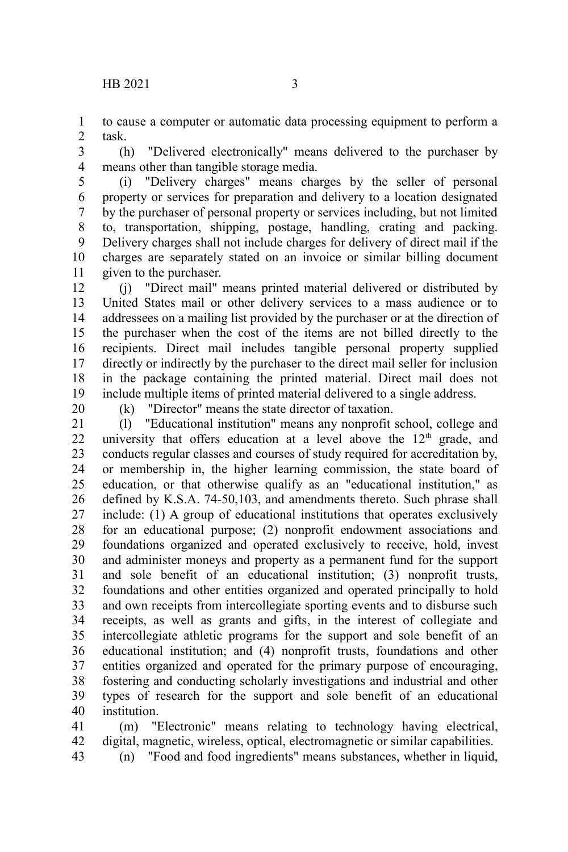to cause a computer or automatic data processing equipment to perform a task. 1 2

(h) "Delivered electronically" means delivered to the purchaser by means other than tangible storage media. 3 4

(i) "Delivery charges" means charges by the seller of personal property or services for preparation and delivery to a location designated by the purchaser of personal property or services including, but not limited to, transportation, shipping, postage, handling, crating and packing. Delivery charges shall not include charges for delivery of direct mail if the charges are separately stated on an invoice or similar billing document given to the purchaser. 5 6 7 8 9 10 11

(j) "Direct mail" means printed material delivered or distributed by United States mail or other delivery services to a mass audience or to addressees on a mailing list provided by the purchaser or at the direction of the purchaser when the cost of the items are not billed directly to the recipients. Direct mail includes tangible personal property supplied directly or indirectly by the purchaser to the direct mail seller for inclusion in the package containing the printed material. Direct mail does not include multiple items of printed material delivered to a single address. 12 13 14 15 16 17 18 19

20

(k) "Director" means the state director of taxation.

(l) "Educational institution" means any nonprofit school, college and university that offers education at a level above the 12<sup>th</sup> grade, and conducts regular classes and courses of study required for accreditation by, or membership in, the higher learning commission, the state board of education, or that otherwise qualify as an "educational institution," as defined by K.S.A. 74-50,103, and amendments thereto. Such phrase shall include: (1) A group of educational institutions that operates exclusively for an educational purpose; (2) nonprofit endowment associations and foundations organized and operated exclusively to receive, hold, invest and administer moneys and property as a permanent fund for the support and sole benefit of an educational institution; (3) nonprofit trusts, foundations and other entities organized and operated principally to hold and own receipts from intercollegiate sporting events and to disburse such receipts, as well as grants and gifts, in the interest of collegiate and intercollegiate athletic programs for the support and sole benefit of an educational institution; and (4) nonprofit trusts, foundations and other entities organized and operated for the primary purpose of encouraging, fostering and conducting scholarly investigations and industrial and other types of research for the support and sole benefit of an educational institution. 21 22 23 24 25 26 27 28 29 30 31 32 33 34 35 36 37 38 39 40

(m) "Electronic" means relating to technology having electrical, digital, magnetic, wireless, optical, electromagnetic or similar capabilities. 41 42 43

(n) "Food and food ingredients" means substances, whether in liquid,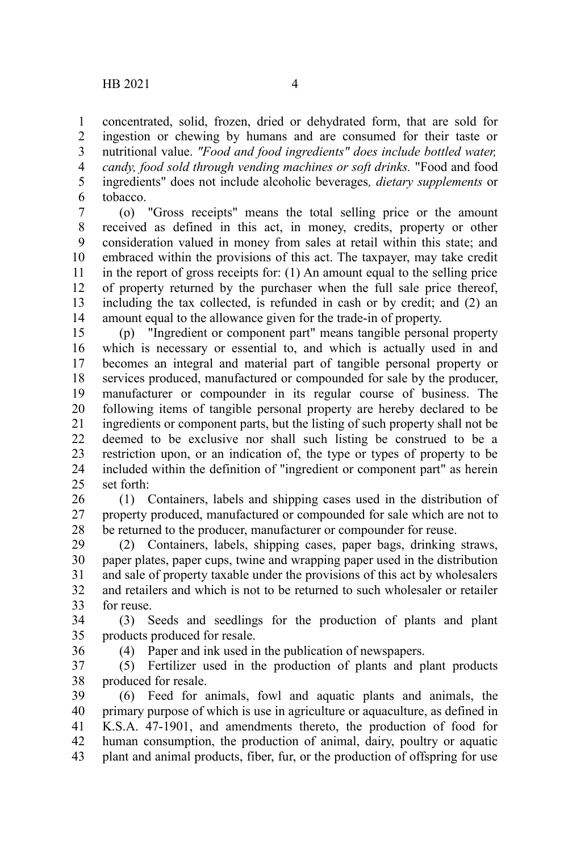36

concentrated, solid, frozen, dried or dehydrated form, that are sold for ingestion or chewing by humans and are consumed for their taste or nutritional value. *"Food and food ingredients" does include bottled water, candy, food sold through vending machines or soft drinks.* "Food and food ingredients" does not include alcoholic beverages*, dietary supplements* or tobacco. 1 2 3 4 5 6

(o) "Gross receipts" means the total selling price or the amount received as defined in this act, in money, credits, property or other consideration valued in money from sales at retail within this state; and embraced within the provisions of this act. The taxpayer, may take credit in the report of gross receipts for: (1) An amount equal to the selling price of property returned by the purchaser when the full sale price thereof, including the tax collected, is refunded in cash or by credit; and (2) an amount equal to the allowance given for the trade-in of property. 7 8 9 10 11 12 13 14

(p) "Ingredient or component part" means tangible personal property which is necessary or essential to, and which is actually used in and becomes an integral and material part of tangible personal property or services produced, manufactured or compounded for sale by the producer, manufacturer or compounder in its regular course of business. The following items of tangible personal property are hereby declared to be ingredients or component parts, but the listing of such property shall not be deemed to be exclusive nor shall such listing be construed to be a restriction upon, or an indication of, the type or types of property to be included within the definition of "ingredient or component part" as herein set forth: 15 16 17 18 19 20 21 22 23 24 25

(1) Containers, labels and shipping cases used in the distribution of property produced, manufactured or compounded for sale which are not to be returned to the producer, manufacturer or compounder for reuse. 26 27 28

(2) Containers, labels, shipping cases, paper bags, drinking straws, paper plates, paper cups, twine and wrapping paper used in the distribution and sale of property taxable under the provisions of this act by wholesalers and retailers and which is not to be returned to such wholesaler or retailer for reuse. 29 30 31 32 33

(3) Seeds and seedlings for the production of plants and plant products produced for resale. 34 35

(4) Paper and ink used in the publication of newspapers.

(5) Fertilizer used in the production of plants and plant products produced for resale. 37 38

(6) Feed for animals, fowl and aquatic plants and animals, the primary purpose of which is use in agriculture or aquaculture, as defined in K.S.A. 47-1901, and amendments thereto, the production of food for human consumption, the production of animal, dairy, poultry or aquatic plant and animal products, fiber, fur, or the production of offspring for use 39 40 41 42 43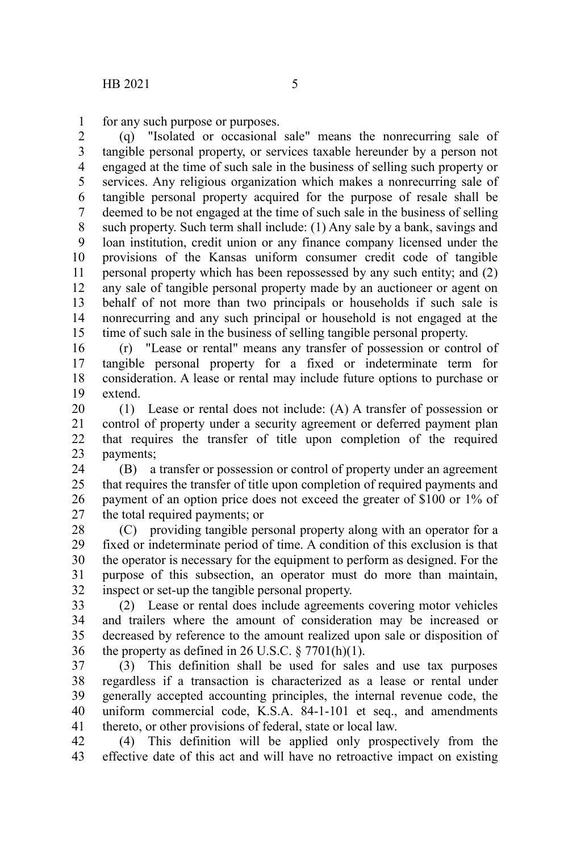for any such purpose or purposes. 1

(q) "Isolated or occasional sale" means the nonrecurring sale of tangible personal property, or services taxable hereunder by a person not engaged at the time of such sale in the business of selling such property or services. Any religious organization which makes a nonrecurring sale of tangible personal property acquired for the purpose of resale shall be deemed to be not engaged at the time of such sale in the business of selling such property. Such term shall include: (1) Any sale by a bank, savings and loan institution, credit union or any finance company licensed under the provisions of the Kansas uniform consumer credit code of tangible personal property which has been repossessed by any such entity; and (2) any sale of tangible personal property made by an auctioneer or agent on behalf of not more than two principals or households if such sale is nonrecurring and any such principal or household is not engaged at the time of such sale in the business of selling tangible personal property. 2 3 4 5 6 7 8 9 10 11 12 13 14 15

(r) "Lease or rental" means any transfer of possession or control of tangible personal property for a fixed or indeterminate term for consideration. A lease or rental may include future options to purchase or extend. 16 17 18 19

(1) Lease or rental does not include: (A) A transfer of possession or control of property under a security agreement or deferred payment plan that requires the transfer of title upon completion of the required payments; 20 21 22 23

(B) a transfer or possession or control of property under an agreement that requires the transfer of title upon completion of required payments and payment of an option price does not exceed the greater of \$100 or 1% of the total required payments; or 24 25 26 27

(C) providing tangible personal property along with an operator for a fixed or indeterminate period of time. A condition of this exclusion is that the operator is necessary for the equipment to perform as designed. For the purpose of this subsection, an operator must do more than maintain, inspect or set-up the tangible personal property. 28 29 30 31 32

(2) Lease or rental does include agreements covering motor vehicles and trailers where the amount of consideration may be increased or decreased by reference to the amount realized upon sale or disposition of the property as defined in 26 U.S.C.  $\S 7701(h)(1)$ . 33 34 35 36

(3) This definition shall be used for sales and use tax purposes regardless if a transaction is characterized as a lease or rental under generally accepted accounting principles, the internal revenue code, the uniform commercial code, K.S.A. 84-1-101 et seq., and amendments thereto, or other provisions of federal, state or local law. 37 38 39 40 41

(4) This definition will be applied only prospectively from the effective date of this act and will have no retroactive impact on existing 42 43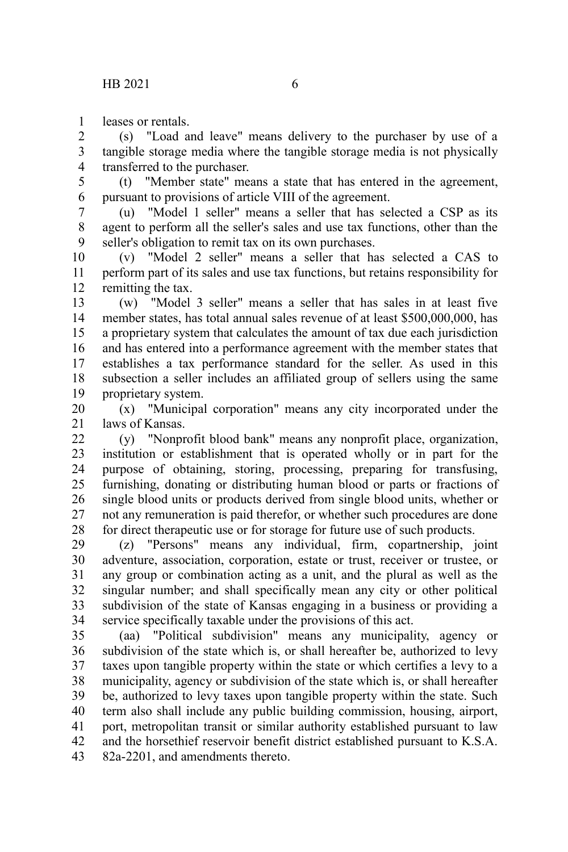leases or rentals. 1

(s) "Load and leave" means delivery to the purchaser by use of a tangible storage media where the tangible storage media is not physically transferred to the purchaser. 2 3 4

(t) "Member state" means a state that has entered in the agreement, pursuant to provisions of article VIII of the agreement. 5 6

(u) "Model 1 seller" means a seller that has selected a CSP as its agent to perform all the seller's sales and use tax functions, other than the seller's obligation to remit tax on its own purchases. 7 8 9

(v) "Model 2 seller" means a seller that has selected a CAS to perform part of its sales and use tax functions, but retains responsibility for remitting the tax. 10 11 12

(w) "Model 3 seller" means a seller that has sales in at least five member states, has total annual sales revenue of at least \$500,000,000, has a proprietary system that calculates the amount of tax due each jurisdiction and has entered into a performance agreement with the member states that establishes a tax performance standard for the seller. As used in this subsection a seller includes an affiliated group of sellers using the same proprietary system. 13 14 15 16 17 18 19

(x) "Municipal corporation" means any city incorporated under the laws of Kansas. 20 21

(y) "Nonprofit blood bank" means any nonprofit place, organization, institution or establishment that is operated wholly or in part for the purpose of obtaining, storing, processing, preparing for transfusing, furnishing, donating or distributing human blood or parts or fractions of single blood units or products derived from single blood units, whether or not any remuneration is paid therefor, or whether such procedures are done for direct therapeutic use or for storage for future use of such products. 22 23 24 25 26 27 28

(z) "Persons" means any individual, firm, copartnership, joint adventure, association, corporation, estate or trust, receiver or trustee, or any group or combination acting as a unit, and the plural as well as the singular number; and shall specifically mean any city or other political subdivision of the state of Kansas engaging in a business or providing a service specifically taxable under the provisions of this act. 29 30 31 32 33 34

(aa) "Political subdivision" means any municipality, agency or subdivision of the state which is, or shall hereafter be, authorized to levy taxes upon tangible property within the state or which certifies a levy to a municipality, agency or subdivision of the state which is, or shall hereafter be, authorized to levy taxes upon tangible property within the state. Such term also shall include any public building commission, housing, airport, port, metropolitan transit or similar authority established pursuant to law and the horsethief reservoir benefit district established pursuant to K.S.A. 82a-2201, and amendments thereto. 35 36 37 38 39 40 41 42 43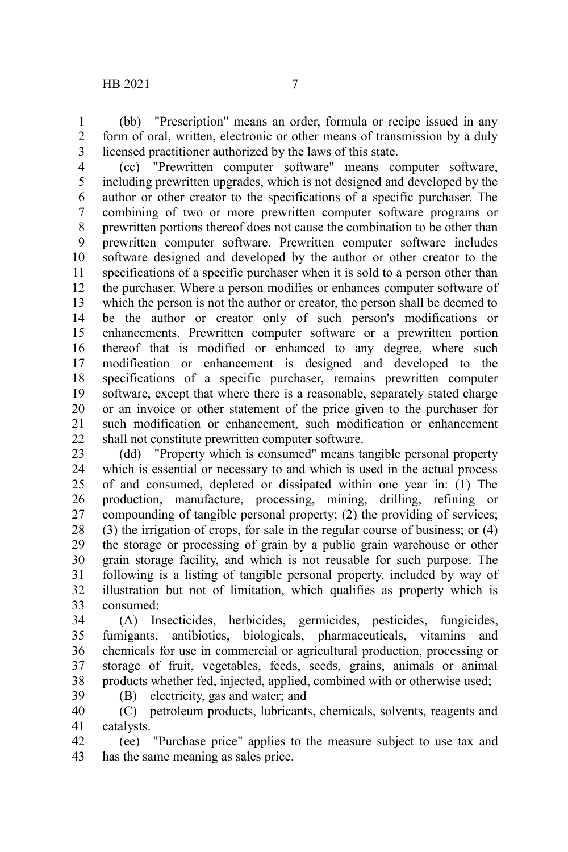(bb) "Prescription" means an order, formula or recipe issued in any form of oral, written, electronic or other means of transmission by a duly licensed practitioner authorized by the laws of this state. 1 2 3

(cc) "Prewritten computer software" means computer software, including prewritten upgrades, which is not designed and developed by the author or other creator to the specifications of a specific purchaser. The combining of two or more prewritten computer software programs or prewritten portions thereof does not cause the combination to be other than prewritten computer software. Prewritten computer software includes software designed and developed by the author or other creator to the specifications of a specific purchaser when it is sold to a person other than the purchaser. Where a person modifies or enhances computer software of which the person is not the author or creator, the person shall be deemed to be the author or creator only of such person's modifications or enhancements. Prewritten computer software or a prewritten portion thereof that is modified or enhanced to any degree, where such modification or enhancement is designed and developed to the specifications of a specific purchaser, remains prewritten computer software, except that where there is a reasonable, separately stated charge or an invoice or other statement of the price given to the purchaser for such modification or enhancement, such modification or enhancement shall not constitute prewritten computer software. 4 5 6 7 8 9 10 11 12 13 14 15 16 17 18 19 20 21 22

(dd) "Property which is consumed" means tangible personal property which is essential or necessary to and which is used in the actual process of and consumed, depleted or dissipated within one year in: (1) The production, manufacture, processing, mining, drilling, refining or compounding of tangible personal property; (2) the providing of services; (3) the irrigation of crops, for sale in the regular course of business; or (4) the storage or processing of grain by a public grain warehouse or other grain storage facility, and which is not reusable for such purpose. The following is a listing of tangible personal property, included by way of illustration but not of limitation, which qualifies as property which is consumed: 23 24 25 26 27 28 29 30 31 32 33

(A) Insecticides, herbicides, germicides, pesticides, fungicides, fumigants, antibiotics, biologicals, pharmaceuticals, vitamins and chemicals for use in commercial or agricultural production, processing or storage of fruit, vegetables, feeds, seeds, grains, animals or animal products whether fed, injected, applied, combined with or otherwise used; 34 35 36 37 38

(B) electricity, gas and water; and 39

(C) petroleum products, lubricants, chemicals, solvents, reagents and catalysts. 40 41

(ee) "Purchase price" applies to the measure subject to use tax and has the same meaning as sales price. 42 43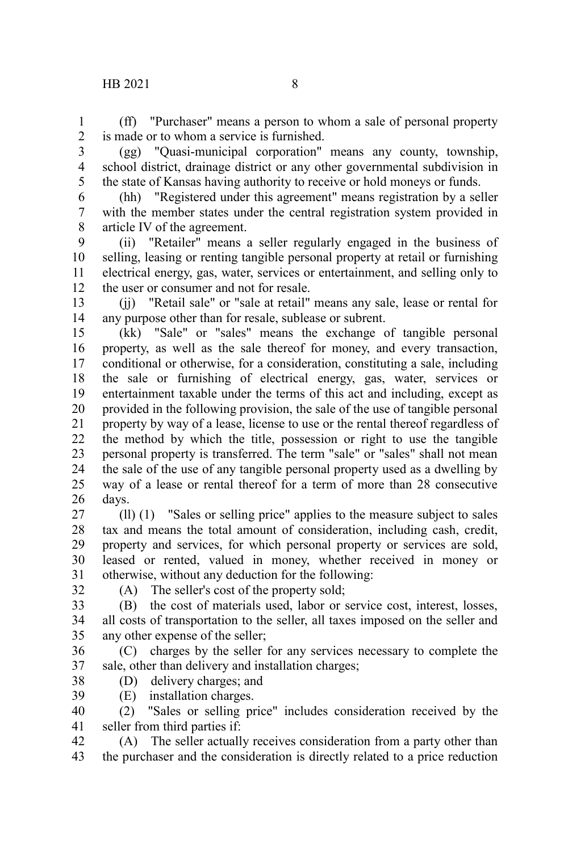(ff) "Purchaser" means a person to whom a sale of personal property is made or to whom a service is furnished. 1  $\mathcal{L}$ 

3

(gg) "Quasi-municipal corporation" means any county, township, school district, drainage district or any other governmental subdivision in the state of Kansas having authority to receive or hold moneys or funds. 4 5

(hh) "Registered under this agreement" means registration by a seller with the member states under the central registration system provided in article IV of the agreement. 6 7 8

(ii) "Retailer" means a seller regularly engaged in the business of selling, leasing or renting tangible personal property at retail or furnishing electrical energy, gas, water, services or entertainment, and selling only to the user or consumer and not for resale. 9 10 11 12

(jj) "Retail sale" or "sale at retail" means any sale, lease or rental for any purpose other than for resale, sublease or subrent. 13 14

(kk) "Sale" or "sales" means the exchange of tangible personal property, as well as the sale thereof for money, and every transaction, conditional or otherwise, for a consideration, constituting a sale, including the sale or furnishing of electrical energy, gas, water, services or entertainment taxable under the terms of this act and including, except as provided in the following provision, the sale of the use of tangible personal property by way of a lease, license to use or the rental thereof regardless of the method by which the title, possession or right to use the tangible personal property is transferred. The term "sale" or "sales" shall not mean the sale of the use of any tangible personal property used as a dwelling by way of a lease or rental thereof for a term of more than 28 consecutive days. 15 16 17 18 19 20 21 22 23 24 25 26

(ll) (1) "Sales or selling price" applies to the measure subject to sales tax and means the total amount of consideration, including cash, credit, property and services, for which personal property or services are sold, leased or rented, valued in money, whether received in money or otherwise, without any deduction for the following: 27 28 29 30 31

32

(A) The seller's cost of the property sold;

(B) the cost of materials used, labor or service cost, interest, losses, all costs of transportation to the seller, all taxes imposed on the seller and any other expense of the seller; 33 34 35

- (C) charges by the seller for any services necessary to complete the sale, other than delivery and installation charges; 36 37
- (D) delivery charges; and 38
- (E) installation charges. 39

(2) "Sales or selling price" includes consideration received by the seller from third parties if: 40 41

(A) The seller actually receives consideration from a party other than the purchaser and the consideration is directly related to a price reduction 42 43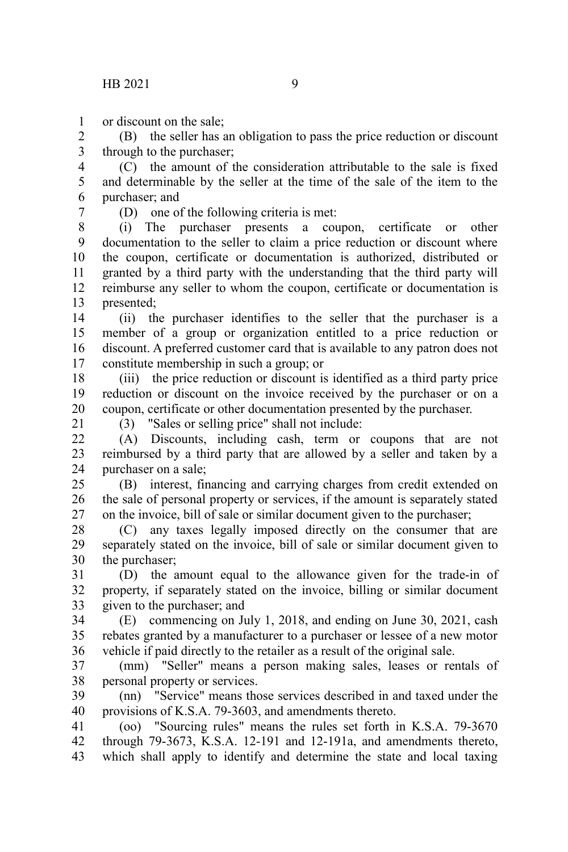or discount on the sale; 1

(B) the seller has an obligation to pass the price reduction or discount through to the purchaser; 2 3

(C) the amount of the consideration attributable to the sale is fixed and determinable by the seller at the time of the sale of the item to the purchaser; and 4 5 6

7

(D) one of the following criteria is met:

(i) The purchaser presents a coupon, certificate or other documentation to the seller to claim a price reduction or discount where the coupon, certificate or documentation is authorized, distributed or granted by a third party with the understanding that the third party will reimburse any seller to whom the coupon, certificate or documentation is presented; 8 9 10 11 12 13

(ii) the purchaser identifies to the seller that the purchaser is a member of a group or organization entitled to a price reduction or discount. A preferred customer card that is available to any patron does not constitute membership in such a group; or 14 15 16 17

(iii) the price reduction or discount is identified as a third party price reduction or discount on the invoice received by the purchaser or on a coupon, certificate or other documentation presented by the purchaser. 18 19 20

21

(3) "Sales or selling price" shall not include: (A) Discounts, including cash, term or coupons that are not reimbursed by a third party that are allowed by a seller and taken by a purchaser on a sale;  $22$ 23 24

(B) interest, financing and carrying charges from credit extended on the sale of personal property or services, if the amount is separately stated on the invoice, bill of sale or similar document given to the purchaser; 25 26 27

(C) any taxes legally imposed directly on the consumer that are separately stated on the invoice, bill of sale or similar document given to the purchaser; 28 29 30

(D) the amount equal to the allowance given for the trade-in of property, if separately stated on the invoice, billing or similar document given to the purchaser; and 31 32 33

(E) commencing on July 1, 2018, and ending on June 30, 2021, cash rebates granted by a manufacturer to a purchaser or lessee of a new motor vehicle if paid directly to the retailer as a result of the original sale. 34 35 36

(mm) "Seller" means a person making sales, leases or rentals of personal property or services. 37 38

(nn) "Service" means those services described in and taxed under the provisions of K.S.A. 79-3603, and amendments thereto. 39 40

(oo) "Sourcing rules" means the rules set forth in K.S.A. 79-3670 through 79-3673, K.S.A. 12-191 and 12-191a, and amendments thereto, which shall apply to identify and determine the state and local taxing 41 42 43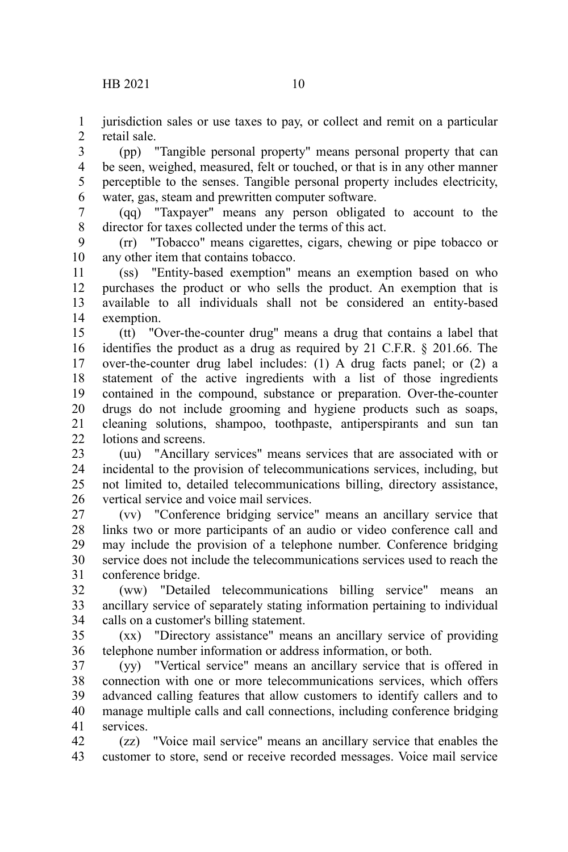jurisdiction sales or use taxes to pay, or collect and remit on a particular retail sale. 1  $\mathcal{L}$ 

(pp) "Tangible personal property" means personal property that can be seen, weighed, measured, felt or touched, or that is in any other manner perceptible to the senses. Tangible personal property includes electricity, water, gas, steam and prewritten computer software. 3 4 5 6

(qq) "Taxpayer" means any person obligated to account to the director for taxes collected under the terms of this act. 7 8

(rr) "Tobacco" means cigarettes, cigars, chewing or pipe tobacco or any other item that contains tobacco. 9 10

(ss) "Entity-based exemption" means an exemption based on who purchases the product or who sells the product. An exemption that is available to all individuals shall not be considered an entity-based exemption. 11 12 13 14

(tt) "Over-the-counter drug" means a drug that contains a label that identifies the product as a drug as required by 21 C.F.R. § 201.66. The over-the-counter drug label includes: (1) A drug facts panel; or (2) a statement of the active ingredients with a list of those ingredients contained in the compound, substance or preparation. Over-the-counter drugs do not include grooming and hygiene products such as soaps, cleaning solutions, shampoo, toothpaste, antiperspirants and sun tan lotions and screens. 15 16 17 18 19 20 21  $22$ 

(uu) "Ancillary services" means services that are associated with or incidental to the provision of telecommunications services, including, but not limited to, detailed telecommunications billing, directory assistance, vertical service and voice mail services. 23 24 25 26

(vv) "Conference bridging service" means an ancillary service that links two or more participants of an audio or video conference call and may include the provision of a telephone number. Conference bridging service does not include the telecommunications services used to reach the conference bridge. 27 28 29 30 31

(ww) "Detailed telecommunications billing service" means an ancillary service of separately stating information pertaining to individual calls on a customer's billing statement. 32 33 34

(xx) "Directory assistance" means an ancillary service of providing telephone number information or address information, or both. 35 36

(yy) "Vertical service" means an ancillary service that is offered in connection with one or more telecommunications services, which offers advanced calling features that allow customers to identify callers and to manage multiple calls and call connections, including conference bridging services. 37 38 39 40 41

(zz) "Voice mail service" means an ancillary service that enables the customer to store, send or receive recorded messages. Voice mail service 42 43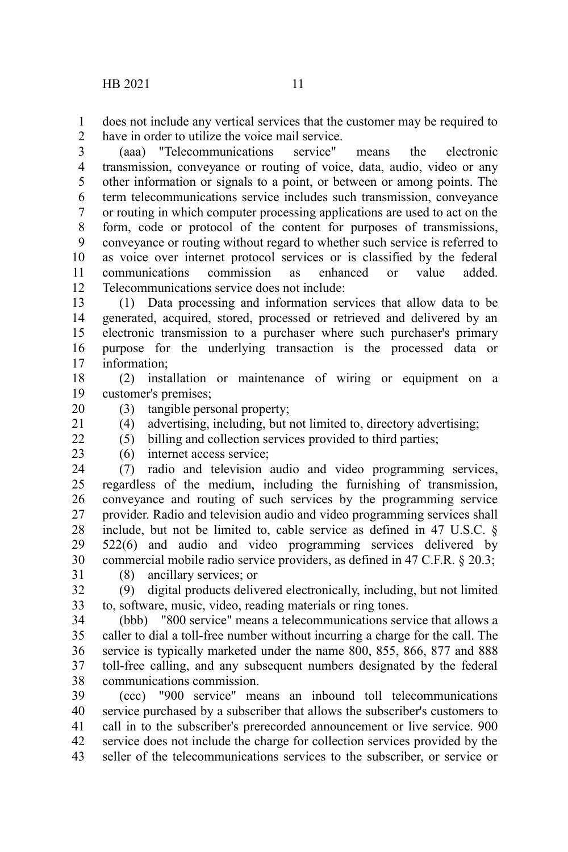does not include any vertical services that the customer may be required to have in order to utilize the voice mail service. 1  $\mathcal{L}$ 

(aaa) "Telecommunications service" means the electronic transmission, conveyance or routing of voice, data, audio, video or any other information or signals to a point, or between or among points. The term telecommunications service includes such transmission, conveyance or routing in which computer processing applications are used to act on the form, code or protocol of the content for purposes of transmissions, conveyance or routing without regard to whether such service is referred to as voice over internet protocol services or is classified by the federal communications commission as enhanced or value added. Telecommunications service does not include: 3 4 5 6 7 8 9 10 11 12

(1) Data processing and information services that allow data to be generated, acquired, stored, processed or retrieved and delivered by an electronic transmission to a purchaser where such purchaser's primary purpose for the underlying transaction is the processed data or information; 13 14 15 16 17

(2) installation or maintenance of wiring or equipment on a customer's premises; 18 19

(3) tangible personal property; 20

21  $22$  (4) advertising, including, but not limited to, directory advertising;

(5) billing and collection services provided to third parties;

23

(6) internet access service;

(7) radio and television audio and video programming services, regardless of the medium, including the furnishing of transmission, conveyance and routing of such services by the programming service provider. Radio and television audio and video programming services shall include, but not be limited to, cable service as defined in 47 U.S.C. § 522(6) and audio and video programming services delivered by commercial mobile radio service providers, as defined in 47 C.F.R. § 20.3; 24 25 26 27 28 29 30

31

(8) ancillary services; or

(9) digital products delivered electronically, including, but not limited to, software, music, video, reading materials or ring tones. 32 33

(bbb) "800 service" means a telecommunications service that allows a caller to dial a toll-free number without incurring a charge for the call. The service is typically marketed under the name 800, 855, 866, 877 and 888 toll-free calling, and any subsequent numbers designated by the federal communications commission. 34 35 36 37 38

(ccc) "900 service" means an inbound toll telecommunications service purchased by a subscriber that allows the subscriber's customers to call in to the subscriber's prerecorded announcement or live service. 900 service does not include the charge for collection services provided by the seller of the telecommunications services to the subscriber, or service or 39 40 41 42 43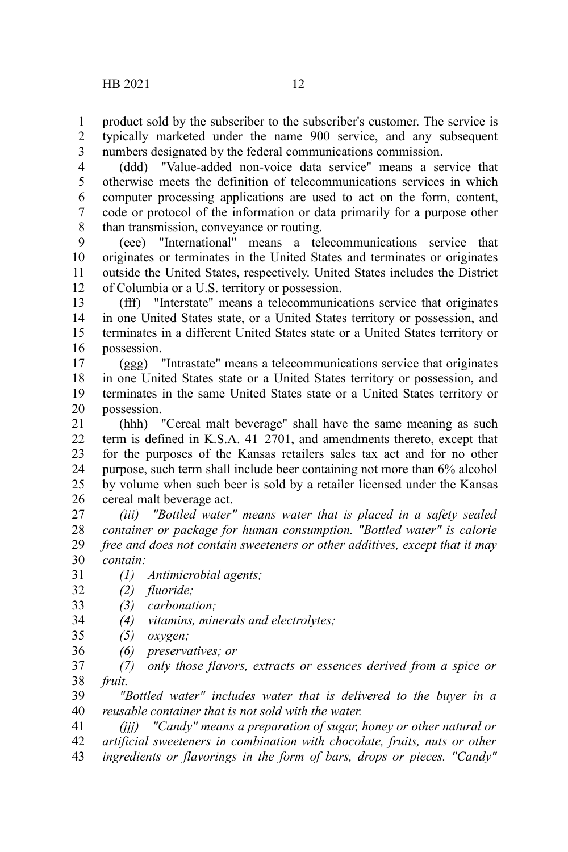product sold by the subscriber to the subscriber's customer. The service is typically marketed under the name 900 service, and any subsequent numbers designated by the federal communications commission. 1 2 3

(ddd) "Value-added non-voice data service" means a service that otherwise meets the definition of telecommunications services in which computer processing applications are used to act on the form, content, code or protocol of the information or data primarily for a purpose other than transmission, conveyance or routing. 4 5 6 7 8

(eee) "International" means a telecommunications service that originates or terminates in the United States and terminates or originates outside the United States, respectively. United States includes the District of Columbia or a U.S. territory or possession. 9 10 11 12

(fff) "Interstate" means a telecommunications service that originates in one United States state, or a United States territory or possession, and terminates in a different United States state or a United States territory or possession. 13 14 15 16

(ggg) "Intrastate" means a telecommunications service that originates in one United States state or a United States territory or possession, and terminates in the same United States state or a United States territory or possession. 17 18 19 20

(hhh) "Cereal malt beverage" shall have the same meaning as such term is defined in K.S.A. 41–2701, and amendments thereto, except that for the purposes of the Kansas retailers sales tax act and for no other purpose, such term shall include beer containing not more than 6% alcohol by volume when such beer is sold by a retailer licensed under the Kansas cereal malt beverage act. 21 22 23 24 25 26

*(iii) "Bottled water" means water that is placed in a safety sealed container or package for human consumption. "Bottled water" is calorie free and does not contain sweeteners or other additives, except that it may contain:* 27 28 29 30

- *(1) Antimicrobial agents;* 31
- *(2) fluoride;* 32
- *(3) carbonation;* 33
- *(4) vitamins, minerals and electrolytes;* 34
- *(5) oxygen;* 35
- *(6) preservatives; or* 36
- *(7) only those flavors, extracts or essences derived from a spice or fruit.* 37 38

*"Bottled water" includes water that is delivered to the buyer in a reusable container that is not sold with the water.* 39 40

*(jjj) "Candy" means a preparation of sugar, honey or other natural or artificial sweeteners in combination with chocolate, fruits, nuts or other ingredients or flavorings in the form of bars, drops or pieces. "Candy"* 41 42 43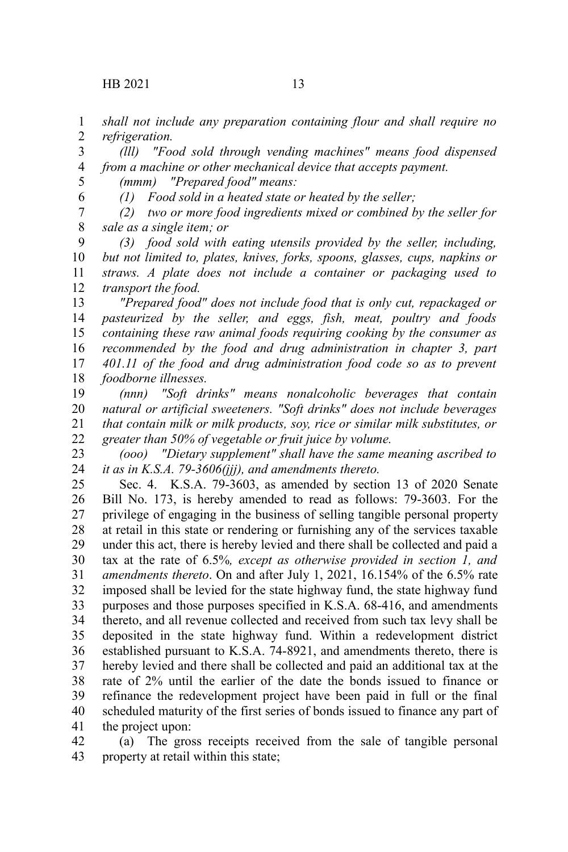$HB 2021$  13

*shall not include any preparation containing flour and shall require no refrigeration.* 1 2

*(lll) "Food sold through vending machines" means food dispensed from a machine or other mechanical device that accepts payment.* 3 4

5 6

*(1) Food sold in a heated state or heated by the seller;*

*(mmm) "Prepared food" means:*

*(2) two or more food ingredients mixed or combined by the seller for sale as a single item; or* 7 8

*(3) food sold with eating utensils provided by the seller, including, but not limited to, plates, knives, forks, spoons, glasses, cups, napkins or straws. A plate does not include a container or packaging used to transport the food.* 9 10 11 12

*"Prepared food" does not include food that is only cut, repackaged or pasteurized by the seller, and eggs, fish, meat, poultry and foods containing these raw animal foods requiring cooking by the consumer as recommended by the food and drug administration in chapter 3, part 401.11 of the food and drug administration food code so as to prevent foodborne illnesses.* 13 14 15 16 17 18

*(nnn) "Soft drinks" means nonalcoholic beverages that contain natural or artificial sweeteners. "Soft drinks" does not include beverages that contain milk or milk products, soy, rice or similar milk substitutes, or greater than 50% of vegetable or fruit juice by volume.* 19 20 21 22

*(ooo) "Dietary supplement" shall have the same meaning ascribed to it as in K.S.A. 79-3606(jjj), and amendments thereto.* 23 24

Sec. 4. K.S.A. 79-3603, as amended by section 13 of 2020 Senate Bill No. 173, is hereby amended to read as follows: 79-3603. For the privilege of engaging in the business of selling tangible personal property at retail in this state or rendering or furnishing any of the services taxable under this act, there is hereby levied and there shall be collected and paid a tax at the rate of 6.5%*, except as otherwise provided in section 1, and amendments thereto*. On and after July 1, 2021, 16.154% of the 6.5% rate imposed shall be levied for the state highway fund, the state highway fund purposes and those purposes specified in K.S.A. 68-416, and amendments thereto, and all revenue collected and received from such tax levy shall be deposited in the state highway fund. Within a redevelopment district established pursuant to K.S.A. 74-8921, and amendments thereto, there is hereby levied and there shall be collected and paid an additional tax at the rate of 2% until the earlier of the date the bonds issued to finance or refinance the redevelopment project have been paid in full or the final scheduled maturity of the first series of bonds issued to finance any part of the project upon: 25 26 27 28 29 30 31 32 33 34 35 36 37 38 39 40 41

(a) The gross receipts received from the sale of tangible personal property at retail within this state; 42 43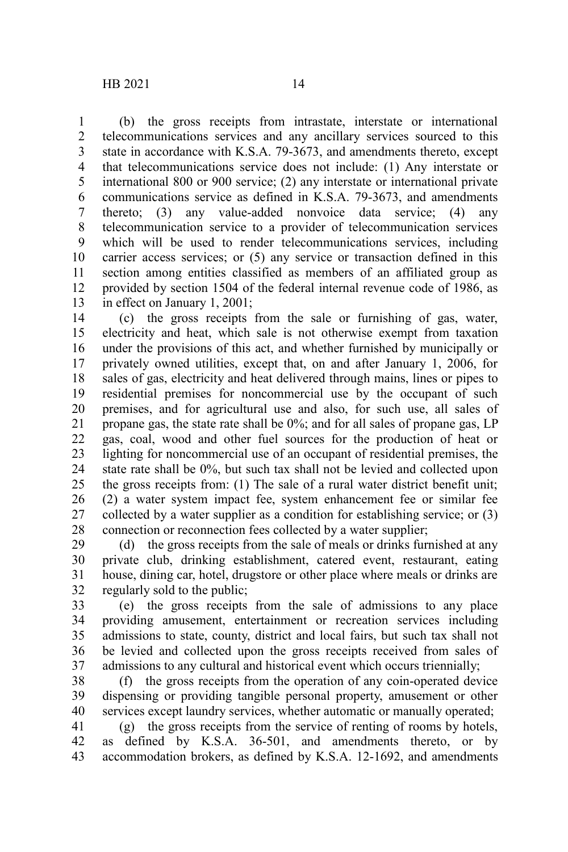(b) the gross receipts from intrastate, interstate or international telecommunications services and any ancillary services sourced to this state in accordance with K.S.A. 79-3673, and amendments thereto, except that telecommunications service does not include: (1) Any interstate or international 800 or 900 service; (2) any interstate or international private communications service as defined in K.S.A. 79-3673, and amendments thereto; (3) any value-added nonvoice data service; (4) any telecommunication service to a provider of telecommunication services which will be used to render telecommunications services, including carrier access services; or (5) any service or transaction defined in this section among entities classified as members of an affiliated group as provided by section 1504 of the federal internal revenue code of 1986, as in effect on January 1, 2001; 1 2 3 4 5 6 7 8 9 10 11 12 13

(c) the gross receipts from the sale or furnishing of gas, water, electricity and heat, which sale is not otherwise exempt from taxation under the provisions of this act, and whether furnished by municipally or privately owned utilities, except that, on and after January 1, 2006, for sales of gas, electricity and heat delivered through mains, lines or pipes to residential premises for noncommercial use by the occupant of such premises, and for agricultural use and also, for such use, all sales of propane gas, the state rate shall be 0%; and for all sales of propane gas, LP gas, coal, wood and other fuel sources for the production of heat or lighting for noncommercial use of an occupant of residential premises, the state rate shall be 0%, but such tax shall not be levied and collected upon the gross receipts from: (1) The sale of a rural water district benefit unit; (2) a water system impact fee, system enhancement fee or similar fee collected by a water supplier as a condition for establishing service; or (3) connection or reconnection fees collected by a water supplier; 14 15 16 17 18 19 20 21 22 23 24 25 26 27 28

(d) the gross receipts from the sale of meals or drinks furnished at any private club, drinking establishment, catered event, restaurant, eating house, dining car, hotel, drugstore or other place where meals or drinks are regularly sold to the public; 29 30 31 32

(e) the gross receipts from the sale of admissions to any place providing amusement, entertainment or recreation services including admissions to state, county, district and local fairs, but such tax shall not be levied and collected upon the gross receipts received from sales of admissions to any cultural and historical event which occurs triennially; 33 34 35 36 37

(f) the gross receipts from the operation of any coin-operated device dispensing or providing tangible personal property, amusement or other services except laundry services, whether automatic or manually operated; 38 39 40

(g) the gross receipts from the service of renting of rooms by hotels, as defined by K.S.A. 36-501, and amendments thereto, or by accommodation brokers, as defined by K.S.A. 12-1692, and amendments 41 42 43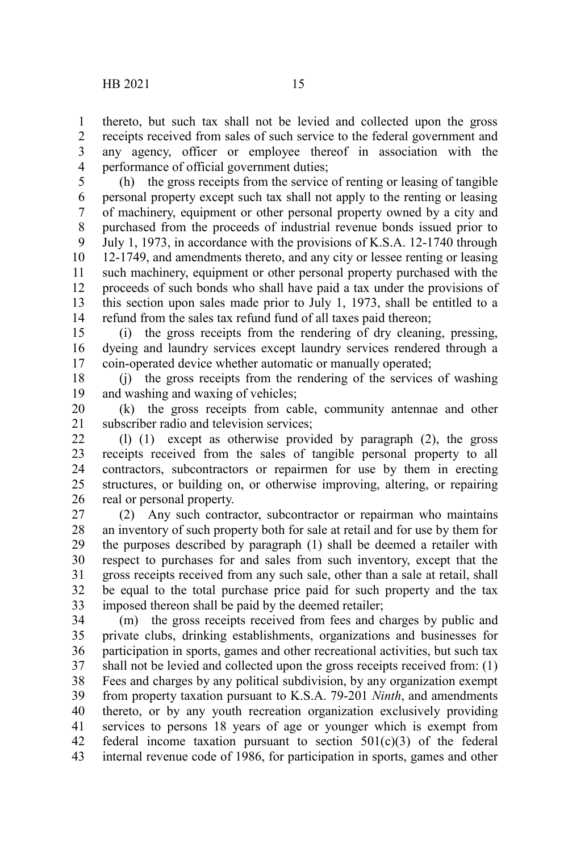thereto, but such tax shall not be levied and collected upon the gross receipts received from sales of such service to the federal government and any agency, officer or employee thereof in association with the performance of official government duties; 1 2 3 4

(h) the gross receipts from the service of renting or leasing of tangible personal property except such tax shall not apply to the renting or leasing of machinery, equipment or other personal property owned by a city and purchased from the proceeds of industrial revenue bonds issued prior to July 1, 1973, in accordance with the provisions of K.S.A. 12-1740 through 12-1749, and amendments thereto, and any city or lessee renting or leasing such machinery, equipment or other personal property purchased with the proceeds of such bonds who shall have paid a tax under the provisions of this section upon sales made prior to July 1, 1973, shall be entitled to a refund from the sales tax refund fund of all taxes paid thereon; 5 6 7 8 9 10 11 12 13 14

(i) the gross receipts from the rendering of dry cleaning, pressing, dyeing and laundry services except laundry services rendered through a coin-operated device whether automatic or manually operated; 15 16 17

(j) the gross receipts from the rendering of the services of washing and washing and waxing of vehicles; 18 19

(k) the gross receipts from cable, community antennae and other subscriber radio and television services; 20 21

(l) (1) except as otherwise provided by paragraph (2), the gross receipts received from the sales of tangible personal property to all contractors, subcontractors or repairmen for use by them in erecting structures, or building on, or otherwise improving, altering, or repairing real or personal property. 22 23 24 25 26

(2) Any such contractor, subcontractor or repairman who maintains an inventory of such property both for sale at retail and for use by them for the purposes described by paragraph (1) shall be deemed a retailer with respect to purchases for and sales from such inventory, except that the gross receipts received from any such sale, other than a sale at retail, shall be equal to the total purchase price paid for such property and the tax imposed thereon shall be paid by the deemed retailer; 27 28 29 30 31 32 33

(m) the gross receipts received from fees and charges by public and private clubs, drinking establishments, organizations and businesses for participation in sports, games and other recreational activities, but such tax shall not be levied and collected upon the gross receipts received from: (1) Fees and charges by any political subdivision, by any organization exempt from property taxation pursuant to K.S.A. 79-201 *Ninth*, and amendments thereto, or by any youth recreation organization exclusively providing services to persons 18 years of age or younger which is exempt from federal income taxation pursuant to section  $501(c)(3)$  of the federal internal revenue code of 1986, for participation in sports, games and other 34 35 36 37 38 39 40 41 42 43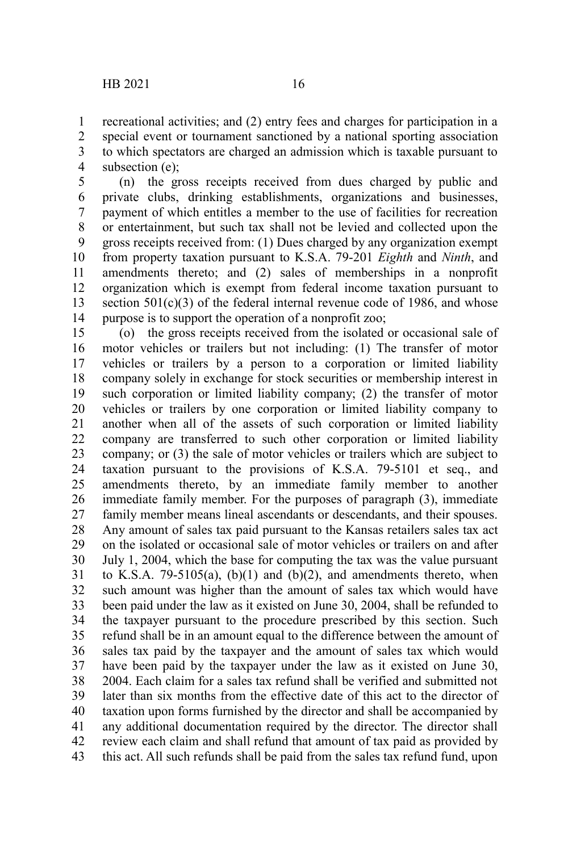recreational activities; and (2) entry fees and charges for participation in a special event or tournament sanctioned by a national sporting association to which spectators are charged an admission which is taxable pursuant to subsection (e); 1 2 3 4

(n) the gross receipts received from dues charged by public and private clubs, drinking establishments, organizations and businesses, payment of which entitles a member to the use of facilities for recreation or entertainment, but such tax shall not be levied and collected upon the gross receipts received from: (1) Dues charged by any organization exempt from property taxation pursuant to K.S.A. 79-201 *Eighth* and *Ninth*, and amendments thereto; and (2) sales of memberships in a nonprofit organization which is exempt from federal income taxation pursuant to section  $501(c)(3)$  of the federal internal revenue code of 1986, and whose purpose is to support the operation of a nonprofit zoo; 5 6 7 8 9 10 11 12 13 14

(o) the gross receipts received from the isolated or occasional sale of motor vehicles or trailers but not including: (1) The transfer of motor vehicles or trailers by a person to a corporation or limited liability company solely in exchange for stock securities or membership interest in such corporation or limited liability company; (2) the transfer of motor vehicles or trailers by one corporation or limited liability company to another when all of the assets of such corporation or limited liability company are transferred to such other corporation or limited liability company; or (3) the sale of motor vehicles or trailers which are subject to taxation pursuant to the provisions of K.S.A. 79-5101 et seq., and amendments thereto, by an immediate family member to another immediate family member. For the purposes of paragraph (3), immediate family member means lineal ascendants or descendants, and their spouses. Any amount of sales tax paid pursuant to the Kansas retailers sales tax act on the isolated or occasional sale of motor vehicles or trailers on and after July 1, 2004, which the base for computing the tax was the value pursuant to K.S.A. 79-5105(a),  $(b)(1)$  and  $(b)(2)$ , and amendments thereto, when such amount was higher than the amount of sales tax which would have been paid under the law as it existed on June 30, 2004, shall be refunded to the taxpayer pursuant to the procedure prescribed by this section. Such refund shall be in an amount equal to the difference between the amount of sales tax paid by the taxpayer and the amount of sales tax which would have been paid by the taxpayer under the law as it existed on June 30, 2004. Each claim for a sales tax refund shall be verified and submitted not later than six months from the effective date of this act to the director of taxation upon forms furnished by the director and shall be accompanied by any additional documentation required by the director. The director shall review each claim and shall refund that amount of tax paid as provided by this act. All such refunds shall be paid from the sales tax refund fund, upon 15 16 17 18 19 20 21 22 23 24 25 26 27 28 29 30 31 32 33 34 35 36 37 38 39 40 41 42 43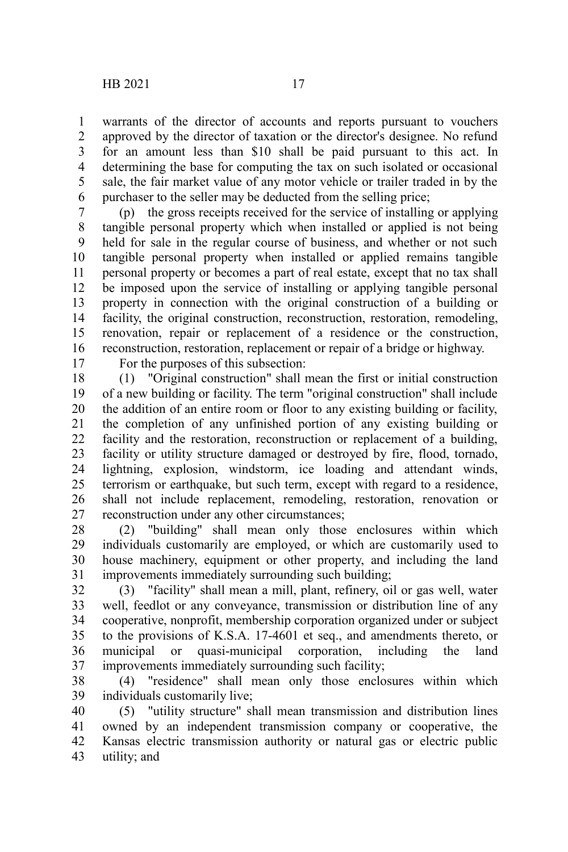warrants of the director of accounts and reports pursuant to vouchers approved by the director of taxation or the director's designee. No refund for an amount less than \$10 shall be paid pursuant to this act. In determining the base for computing the tax on such isolated or occasional sale, the fair market value of any motor vehicle or trailer traded in by the purchaser to the seller may be deducted from the selling price; 1 2 3 4 5 6

(p) the gross receipts received for the service of installing or applying tangible personal property which when installed or applied is not being held for sale in the regular course of business, and whether or not such tangible personal property when installed or applied remains tangible personal property or becomes a part of real estate, except that no tax shall be imposed upon the service of installing or applying tangible personal property in connection with the original construction of a building or facility, the original construction, reconstruction, restoration, remodeling, renovation, repair or replacement of a residence or the construction, reconstruction, restoration, replacement or repair of a bridge or highway. 7 8 9 10 11 12 13 14 15 16

17

For the purposes of this subsection:

(1) "Original construction" shall mean the first or initial construction of a new building or facility. The term "original construction" shall include the addition of an entire room or floor to any existing building or facility, the completion of any unfinished portion of any existing building or facility and the restoration, reconstruction or replacement of a building, facility or utility structure damaged or destroyed by fire, flood, tornado, lightning, explosion, windstorm, ice loading and attendant winds, terrorism or earthquake, but such term, except with regard to a residence, shall not include replacement, remodeling, restoration, renovation or reconstruction under any other circumstances; 18 19 20 21 22 23 24 25 26 27

(2) "building" shall mean only those enclosures within which individuals customarily are employed, or which are customarily used to house machinery, equipment or other property, and including the land improvements immediately surrounding such building; 28 29 30 31

(3) "facility" shall mean a mill, plant, refinery, oil or gas well, water well, feedlot or any conveyance, transmission or distribution line of any cooperative, nonprofit, membership corporation organized under or subject to the provisions of K.S.A. 17-4601 et seq., and amendments thereto, or municipal or quasi-municipal corporation, including the land improvements immediately surrounding such facility; 32 33 34 35 36 37

(4) "residence" shall mean only those enclosures within which individuals customarily live; 38 39

(5) "utility structure" shall mean transmission and distribution lines owned by an independent transmission company or cooperative, the Kansas electric transmission authority or natural gas or electric public utility; and 40 41 42 43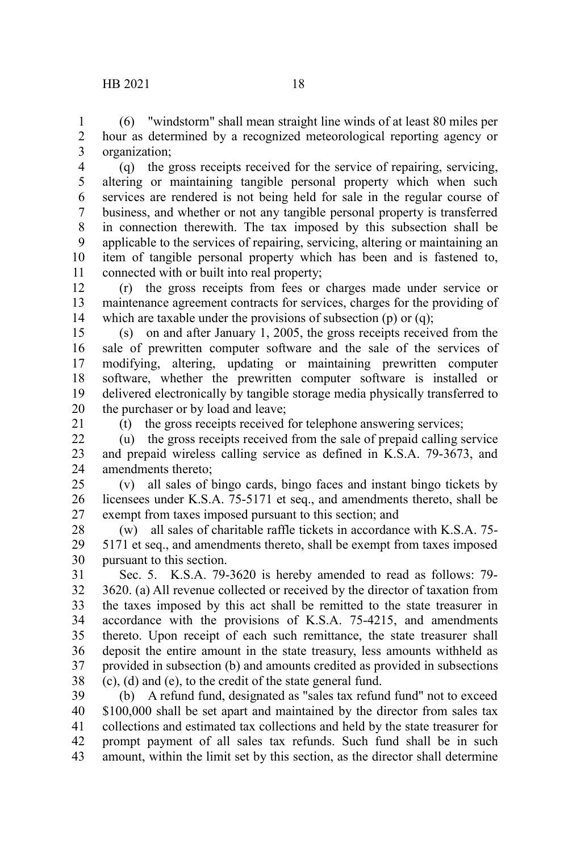(6) "windstorm" shall mean straight line winds of at least 80 miles per hour as determined by a recognized meteorological reporting agency or organization; 1 2 3

(q) the gross receipts received for the service of repairing, servicing, altering or maintaining tangible personal property which when such services are rendered is not being held for sale in the regular course of business, and whether or not any tangible personal property is transferred in connection therewith. The tax imposed by this subsection shall be applicable to the services of repairing, servicing, altering or maintaining an item of tangible personal property which has been and is fastened to, connected with or built into real property; 4 5 6 7 8 9 10 11

(r) the gross receipts from fees or charges made under service or maintenance agreement contracts for services, charges for the providing of which are taxable under the provisions of subsection (p) or (q); 12 13 14

(s) on and after January 1, 2005, the gross receipts received from the sale of prewritten computer software and the sale of the services of modifying, altering, updating or maintaining prewritten computer software, whether the prewritten computer software is installed or delivered electronically by tangible storage media physically transferred to the purchaser or by load and leave; 15 16 17 18 19 20

21

(t) the gross receipts received for telephone answering services;

(u) the gross receipts received from the sale of prepaid calling service and prepaid wireless calling service as defined in K.S.A. 79-3673, and amendments thereto; 22 23 24

(v) all sales of bingo cards, bingo faces and instant bingo tickets by licensees under K.S.A. 75-5171 et seq., and amendments thereto, shall be exempt from taxes imposed pursuant to this section; and 25 26 27

(w) all sales of charitable raffle tickets in accordance with K.S.A. 75- 5171 et seq., and amendments thereto, shall be exempt from taxes imposed pursuant to this section. 28 29 30

Sec. 5. K.S.A. 79-3620 is hereby amended to read as follows: 79- 3620. (a) All revenue collected or received by the director of taxation from the taxes imposed by this act shall be remitted to the state treasurer in accordance with the provisions of K.S.A. 75-4215, and amendments thereto. Upon receipt of each such remittance, the state treasurer shall deposit the entire amount in the state treasury, less amounts withheld as provided in subsection (b) and amounts credited as provided in subsections (c), (d) and (e), to the credit of the state general fund. 31 32 33 34 35 36 37 38

(b) A refund fund, designated as "sales tax refund fund" not to exceed \$100,000 shall be set apart and maintained by the director from sales tax collections and estimated tax collections and held by the state treasurer for prompt payment of all sales tax refunds. Such fund shall be in such amount, within the limit set by this section, as the director shall determine 39 40 41 42 43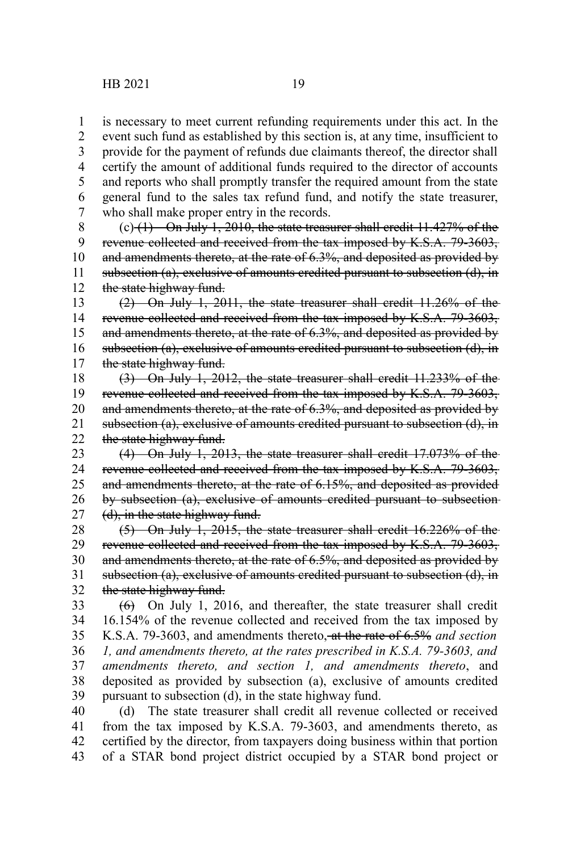1

is necessary to meet current refunding requirements under this act. In the

event such fund as established by this section is, at any time, insufficient to provide for the payment of refunds due claimants thereof, the director shall certify the amount of additional funds required to the director of accounts and reports who shall promptly transfer the required amount from the state general fund to the sales tax refund fund, and notify the state treasurer, who shall make proper entry in the records. 2 3 4 5 6 7

 $(c)$  (1) On July 1, 2010, the state treasurer shall credit 11.427% of the revenue collected and received from the tax imposed by K.S.A. 79-3603, and amendments thereto, at the rate of 6.3%, and deposited as provided by subsection (a), exclusive of amounts credited pursuant to subsection (d), in the state highway fund. 8 9 10 11 12

(2) On July 1, 2011, the state treasurer shall credit 11.26% of the revenue collected and received from the tax imposed by K.S.A. 79-3603, and amendments thereto, at the rate of 6.3%, and deposited as provided by subsection (a), exclusive of amounts credited pursuant to subsection (d), in the state highway fund. 13 14 15 16 17

(3) On July 1, 2012, the state treasurer shall credit 11.233% of the revenue collected and received from the tax imposed by K.S.A. 79-3603, and amendments thereto, at the rate of 6.3%, and deposited as provided by subsection (a), exclusive of amounts credited pursuant to subsection (d), in the state highway fund. 18 19 20 21 22

(4) On July 1, 2013, the state treasurer shall credit 17.073% of the revenue collected and received from the tax imposed by K.S.A. 79-3603, and amendments thereto, at the rate of 6.15%, and deposited as provided by subsection (a), exclusive of amounts credited pursuant to subsection (d), in the state highway fund. 23 24 25 26 27

(5) On July 1, 2015, the state treasurer shall credit 16.226% of the revenue collected and received from the tax imposed by K.S.A. 79-3603, and amendments thereto, at the rate of 6.5%, and deposited as provided by subsection (a), exclusive of amounts credited pursuant to subsection (d), in the state highway fund. 28 29 30 31 32

 $(6)$  On July 1, 2016, and thereafter, the state treasurer shall credit 16.154% of the revenue collected and received from the tax imposed by K.S.A. 79-3603, and amendments thereto, at the rate of 6.5% *and section 1, and amendments thereto, at the rates prescribed in K.S.A. 79-3603, and amendments thereto, and section 1, and amendments thereto*, and deposited as provided by subsection (a), exclusive of amounts credited pursuant to subsection (d), in the state highway fund. 33 34 35 36 37 38 39

(d) The state treasurer shall credit all revenue collected or received from the tax imposed by K.S.A. 79-3603, and amendments thereto, as certified by the director, from taxpayers doing business within that portion of a STAR bond project district occupied by a STAR bond project or 40 41 42 43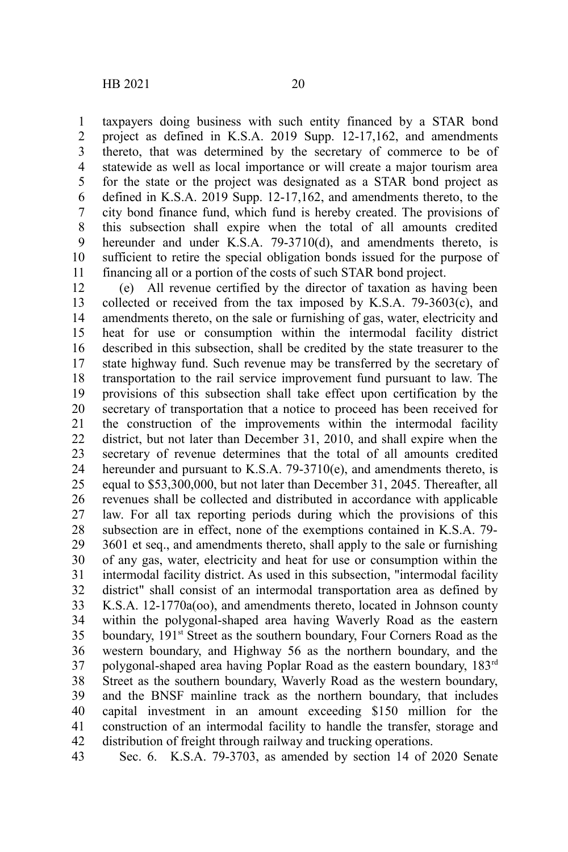taxpayers doing business with such entity financed by a STAR bond project as defined in K.S.A. 2019 Supp. 12-17,162, and amendments thereto, that was determined by the secretary of commerce to be of statewide as well as local importance or will create a major tourism area for the state or the project was designated as a STAR bond project as defined in K.S.A. 2019 Supp. 12-17,162, and amendments thereto, to the city bond finance fund, which fund is hereby created. The provisions of this subsection shall expire when the total of all amounts credited hereunder and under K.S.A. 79-3710(d), and amendments thereto, is sufficient to retire the special obligation bonds issued for the purpose of financing all or a portion of the costs of such STAR bond project. 1 2 3 4 5 6 7 8 9 10 11

(e) All revenue certified by the director of taxation as having been collected or received from the tax imposed by K.S.A. 79-3603(c), and amendments thereto, on the sale or furnishing of gas, water, electricity and heat for use or consumption within the intermodal facility district described in this subsection, shall be credited by the state treasurer to the state highway fund. Such revenue may be transferred by the secretary of transportation to the rail service improvement fund pursuant to law. The provisions of this subsection shall take effect upon certification by the secretary of transportation that a notice to proceed has been received for the construction of the improvements within the intermodal facility district, but not later than December 31, 2010, and shall expire when the secretary of revenue determines that the total of all amounts credited hereunder and pursuant to K.S.A. 79-3710(e), and amendments thereto, is equal to \$53,300,000, but not later than December 31, 2045. Thereafter, all revenues shall be collected and distributed in accordance with applicable law. For all tax reporting periods during which the provisions of this subsection are in effect, none of the exemptions contained in K.S.A. 79- 3601 et seq., and amendments thereto, shall apply to the sale or furnishing of any gas, water, electricity and heat for use or consumption within the intermodal facility district. As used in this subsection, "intermodal facility district" shall consist of an intermodal transportation area as defined by K.S.A. 12-1770a(oo), and amendments thereto, located in Johnson county within the polygonal-shaped area having Waverly Road as the eastern boundary, 191<sup>st</sup> Street as the southern boundary, Four Corners Road as the western boundary, and Highway 56 as the northern boundary, and the polygonal-shaped area having Poplar Road as the eastern boundary, 183rd Street as the southern boundary, Waverly Road as the western boundary, and the BNSF mainline track as the northern boundary, that includes capital investment in an amount exceeding \$150 million for the construction of an intermodal facility to handle the transfer, storage and distribution of freight through railway and trucking operations. 12 13 14 15 16 17 18 19 20 21 22 23 24 25 26 27 28 29 30 31 32 33 34 35 36 37 38 39 40 41 42

Sec. 6. K.S.A. 79-3703, as amended by section 14 of 2020 Senate 43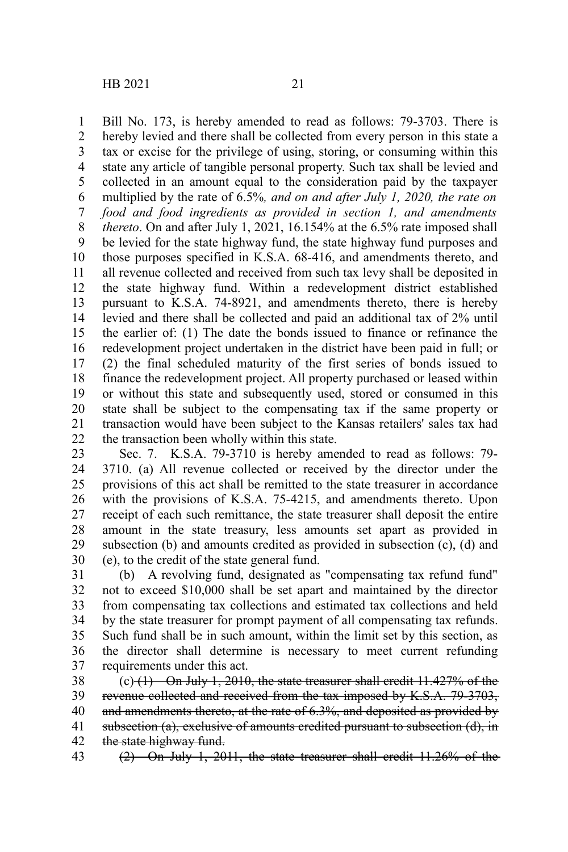Bill No. 173, is hereby amended to read as follows: 79-3703. There is hereby levied and there shall be collected from every person in this state a tax or excise for the privilege of using, storing, or consuming within this state any article of tangible personal property. Such tax shall be levied and collected in an amount equal to the consideration paid by the taxpayer multiplied by the rate of 6.5%*, and on and after July 1, 2020, the rate on food and food ingredients as provided in section 1, and amendments thereto*. On and after July 1, 2021, 16.154% at the 6.5% rate imposed shall be levied for the state highway fund, the state highway fund purposes and those purposes specified in K.S.A. 68-416, and amendments thereto, and all revenue collected and received from such tax levy shall be deposited in the state highway fund. Within a redevelopment district established pursuant to K.S.A. 74-8921, and amendments thereto, there is hereby levied and there shall be collected and paid an additional tax of 2% until the earlier of: (1) The date the bonds issued to finance or refinance the redevelopment project undertaken in the district have been paid in full; or (2) the final scheduled maturity of the first series of bonds issued to finance the redevelopment project. All property purchased or leased within or without this state and subsequently used, stored or consumed in this state shall be subject to the compensating tax if the same property or transaction would have been subject to the Kansas retailers' sales tax had the transaction been wholly within this state. 1 2 3 4 5 6 7 8 9 10 11 12 13 14 15 16 17 18 19 20 21 22

Sec. 7. K.S.A. 79-3710 is hereby amended to read as follows: 79- 3710. (a) All revenue collected or received by the director under the provisions of this act shall be remitted to the state treasurer in accordance with the provisions of K.S.A. 75-4215, and amendments thereto. Upon receipt of each such remittance, the state treasurer shall deposit the entire amount in the state treasury, less amounts set apart as provided in subsection (b) and amounts credited as provided in subsection (c), (d) and (e), to the credit of the state general fund. 23 24 25 26 27 28 29 30

(b) A revolving fund, designated as "compensating tax refund fund" not to exceed \$10,000 shall be set apart and maintained by the director from compensating tax collections and estimated tax collections and held by the state treasurer for prompt payment of all compensating tax refunds. Such fund shall be in such amount, within the limit set by this section, as the director shall determine is necessary to meet current refunding requirements under this act. 31 32 33 34 35 36 37

 $(c)$  (1) On July 1, 2010, the state treasurer shall credit 11.427% of the revenue collected and received from the tax imposed by K.S.A. 79-3703, and amendments thereto, at the rate of 6.3%, and deposited as provided by subsection (a), exclusive of amounts credited pursuant to subsection (d), in the state highway fund. 38 39 40 41 42

(2) On July 1, 2011, the state treasurer shall credit 11.26% of the 43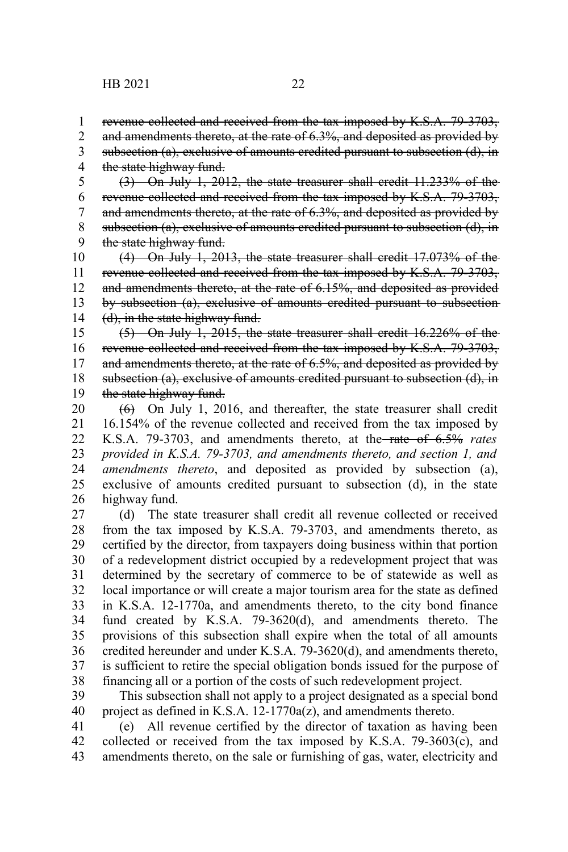1

and amendments thereto, at the rate of 6.3%, and deposited as provided by 2

subsection (a), exclusive of amounts credited pursuant to subsection (d), in the state highway fund. 3 4

(3) On July 1, 2012, the state treasurer shall credit 11.233% of the revenue collected and received from the tax imposed by K.S.A. 79-3703, and amendments thereto, at the rate of 6.3%, and deposited as provided by subsection (a), exclusive of amounts credited pursuant to subsection (d), in the state highway fund. 5 6 7 8 9

(4) On July 1, 2013, the state treasurer shall credit 17.073% of the revenue collected and received from the tax imposed by K.S.A. 79-3703, and amendments thereto, at the rate of 6.15%, and deposited as provided by subsection (a), exclusive of amounts credited pursuant to subsection (d), in the state highway fund. 10 11 12 13 14

(5) On July 1, 2015, the state treasurer shall credit 16.226% of the revenue collected and received from the tax imposed by K.S.A. 79-3703, and amendments thereto, at the rate of 6.5%, and deposited as provided by subsection (a), exclusive of amounts credited pursuant to subsection (d), in the state highway fund. 15 16 17 18 19

 $(6)$  On July 1, 2016, and thereafter, the state treasurer shall credit 16.154% of the revenue collected and received from the tax imposed by K.S.A. 79-3703, and amendments thereto, at the rate of 6.5% *rates provided in K.S.A. 79-3703, and amendments thereto, and section 1, and amendments thereto*, and deposited as provided by subsection (a), exclusive of amounts credited pursuant to subsection (d), in the state highway fund. 20 21 22 23 24 25 26

(d) The state treasurer shall credit all revenue collected or received from the tax imposed by K.S.A. 79-3703, and amendments thereto, as certified by the director, from taxpayers doing business within that portion of a redevelopment district occupied by a redevelopment project that was determined by the secretary of commerce to be of statewide as well as local importance or will create a major tourism area for the state as defined in K.S.A. 12-1770a, and amendments thereto, to the city bond finance fund created by K.S.A. 79-3620(d), and amendments thereto. The provisions of this subsection shall expire when the total of all amounts credited hereunder and under K.S.A. 79-3620(d), and amendments thereto, is sufficient to retire the special obligation bonds issued for the purpose of financing all or a portion of the costs of such redevelopment project. 27 28 29 30 31 32 33 34 35 36 37 38

This subsection shall not apply to a project designated as a special bond project as defined in K.S.A. 12-1770a(z), and amendments thereto. 39 40

(e) All revenue certified by the director of taxation as having been collected or received from the tax imposed by K.S.A. 79-3603(c), and amendments thereto, on the sale or furnishing of gas, water, electricity and 41 42 43